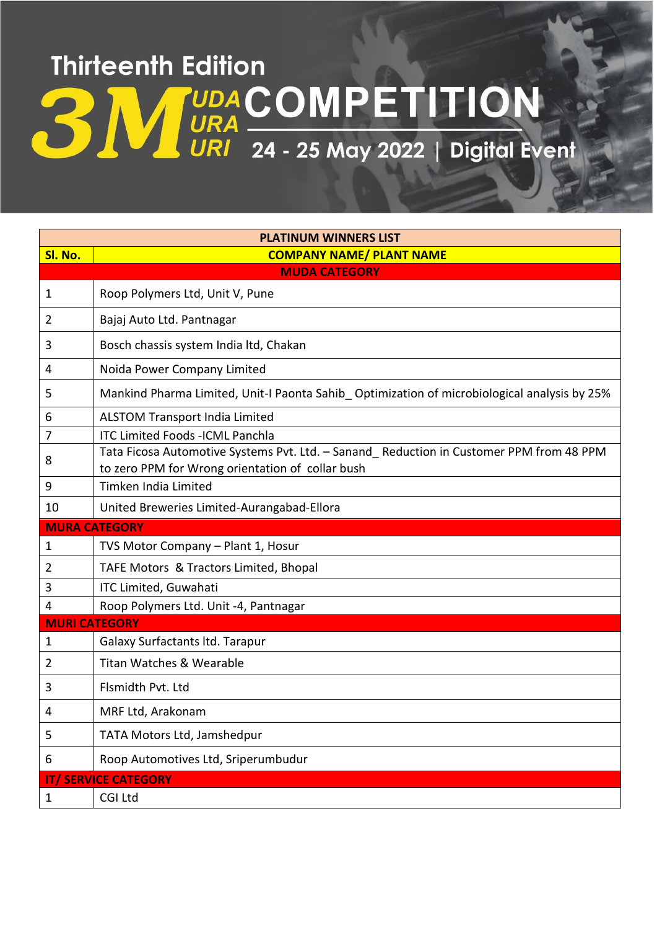## **Thirteenth Edition UDACOMPETITION** URI 24 - 25 May 2022 | Digital Event

| <b>PLATINUM WINNERS LIST</b> |                                                                                                                                             |  |
|------------------------------|---------------------------------------------------------------------------------------------------------------------------------------------|--|
| Sl. No.                      | <b>COMPANY NAME/ PLANT NAME</b>                                                                                                             |  |
| <b>MUDA CATEGORY</b>         |                                                                                                                                             |  |
| 1                            | Roop Polymers Ltd, Unit V, Pune                                                                                                             |  |
| 2                            | Bajaj Auto Ltd. Pantnagar                                                                                                                   |  |
| 3                            | Bosch chassis system India ltd, Chakan                                                                                                      |  |
| 4                            | Noida Power Company Limited                                                                                                                 |  |
| 5                            | Mankind Pharma Limited, Unit-I Paonta Sahib_Optimization of microbiological analysis by 25%                                                 |  |
| 6                            | <b>ALSTOM Transport India Limited</b>                                                                                                       |  |
| 7                            | <b>ITC Limited Foods -ICML Panchla</b>                                                                                                      |  |
| 8                            | Tata Ficosa Automotive Systems Pvt. Ltd. - Sanand Reduction in Customer PPM from 48 PPM<br>to zero PPM for Wrong orientation of collar bush |  |
| 9                            | Timken India Limited                                                                                                                        |  |
| 10                           | United Breweries Limited-Aurangabad-Ellora                                                                                                  |  |
|                              |                                                                                                                                             |  |
|                              | <b>MURA CATEGORY</b>                                                                                                                        |  |
| $\mathbf 1$                  | TVS Motor Company - Plant 1, Hosur                                                                                                          |  |
| 2                            | TAFE Motors & Tractors Limited, Bhopal                                                                                                      |  |
| 3                            | ITC Limited, Guwahati                                                                                                                       |  |
| 4                            | Roop Polymers Ltd. Unit -4, Pantnagar                                                                                                       |  |
| <b>MURI CATEGORY</b>         |                                                                                                                                             |  |
| $\mathbf{1}$                 | <b>Galaxy Surfactants Itd. Tarapur</b>                                                                                                      |  |
| 2                            | <b>Titan Watches &amp; Wearable</b>                                                                                                         |  |
| 3                            | Flsmidth Pvt. Ltd                                                                                                                           |  |
| 4                            | MRF Ltd, Arakonam                                                                                                                           |  |
| 5                            | TATA Motors Ltd, Jamshedpur                                                                                                                 |  |
| 6                            | Roop Automotives Ltd, Sriperumbudur                                                                                                         |  |
|                              | <b>IT/ SERVICE CATEGORY</b>                                                                                                                 |  |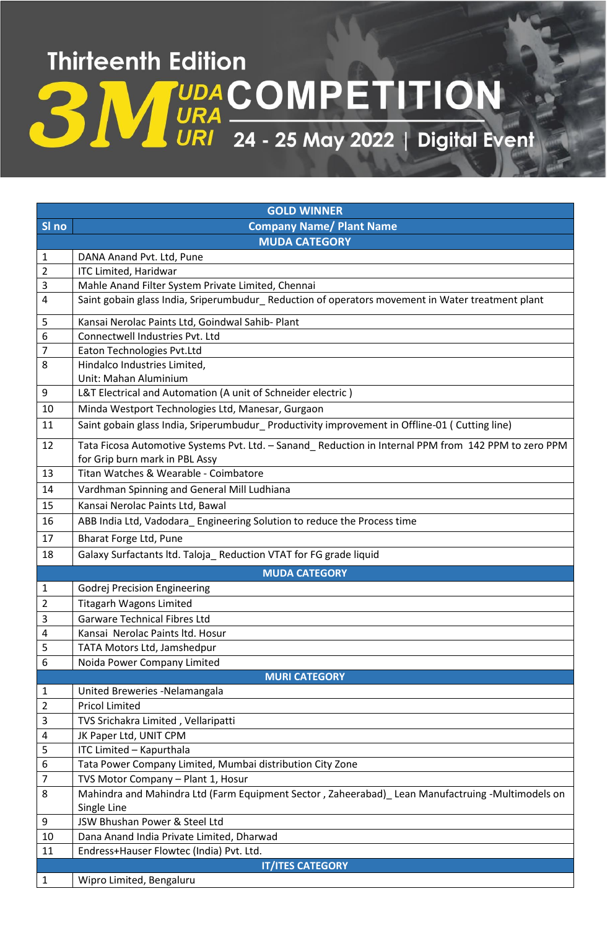## **Thirteenth Edition UDA COMPETITION**<br>URI 24 - 25 May 2022 | Digital Event

| <b>GOLD WINNER</b> |                                                                                                                                        |  |
|--------------------|----------------------------------------------------------------------------------------------------------------------------------------|--|
| SI no              | <b>Company Name/ Plant Name</b>                                                                                                        |  |
|                    | <b>MUDA CATEGORY</b>                                                                                                                   |  |
| 1                  | DANA Anand Pvt. Ltd, Pune                                                                                                              |  |
| $\overline{2}$     | <b>ITC Limited, Haridwar</b>                                                                                                           |  |
| 3                  | Mahle Anand Filter System Private Limited, Chennai                                                                                     |  |
| $\overline{4}$     | Saint gobain glass India, Sriperumbudur_Reduction of operators movement in Water treatment plant                                       |  |
| 5                  | Kansai Nerolac Paints Ltd, Goindwal Sahib- Plant                                                                                       |  |
| $\boldsymbol{6}$   | Connectwell Industries Pvt. Ltd                                                                                                        |  |
| 7                  | Eaton Technologies Pvt.Ltd                                                                                                             |  |
| 8                  | Hindalco Industries Limited,<br>Unit: Mahan Aluminium                                                                                  |  |
| 9                  | L&T Electrical and Automation (A unit of Schneider electric)                                                                           |  |
| 10                 | Minda Westport Technologies Ltd, Manesar, Gurgaon                                                                                      |  |
| 11                 | Saint gobain glass India, Sriperumbudur_ Productivity improvement in Offline-01 (Cutting line)                                         |  |
| 12                 | Tata Ficosa Automotive Systems Pvt. Ltd. - Sanand Reduction in Internal PPM from 142 PPM to zero PPM<br>for Grip burn mark in PBL Assy |  |
| 13                 | Titan Watches & Wearable - Coimbatore                                                                                                  |  |
| 14                 | Vardhman Spinning and General Mill Ludhiana                                                                                            |  |
| 15                 | Kansai Nerolac Paints Ltd, Bawal                                                                                                       |  |
| 16                 | ABB India Ltd, Vadodara_Engineering Solution to reduce the Process time                                                                |  |
| 17                 | Bharat Forge Ltd, Pune                                                                                                                 |  |
| 18                 | Galaxy Surfactants Itd. Taloja_ Reduction VTAT for FG grade liquid                                                                     |  |
|                    | <b>MUDA CATEGORY</b>                                                                                                                   |  |
| 1                  | <b>Godrej Precision Engineering</b>                                                                                                    |  |
| 2                  | <b>Titagarh Wagons Limited</b>                                                                                                         |  |
| 3                  | <b>Garware Technical Fibres Ltd</b>                                                                                                    |  |
| 4                  | Kansai Nerolac Paints ltd. Hosur                                                                                                       |  |
| 5                  | TATA Motors Ltd, Jamshedpur                                                                                                            |  |
| 6                  | Noida Power Company Limited                                                                                                            |  |
|                    | <b>MURI CATEGORY</b>                                                                                                                   |  |
| 1<br>2             | United Breweries - Nelamangala<br><b>Pricol Limited</b>                                                                                |  |
| 3                  | TVS Srichakra Limited, Vellaripatti                                                                                                    |  |
| 4                  | JK Paper Ltd, UNIT CPM                                                                                                                 |  |
| 5                  | ITC Limited - Kapurthala                                                                                                               |  |
| 6                  | Tata Power Company Limited, Mumbai distribution City Zone                                                                              |  |
| 7                  | TVS Motor Company - Plant 1, Hosur                                                                                                     |  |
| 8                  | Mahindra and Mahindra Ltd (Farm Equipment Sector, Zaheerabad) Lean Manufactruing -Multimodels on                                       |  |
|                    | Single Line                                                                                                                            |  |
| 9                  | JSW Bhushan Power & Steel Ltd                                                                                                          |  |
| 10                 | Dana Anand India Private Limited, Dharwad                                                                                              |  |
| 11                 | Endress+Hauser Flowtec (India) Pvt. Ltd.                                                                                               |  |
|                    | <b>IT/ITES CATEGORY</b>                                                                                                                |  |
| 1                  | Wipro Limited, Bengaluru                                                                                                               |  |